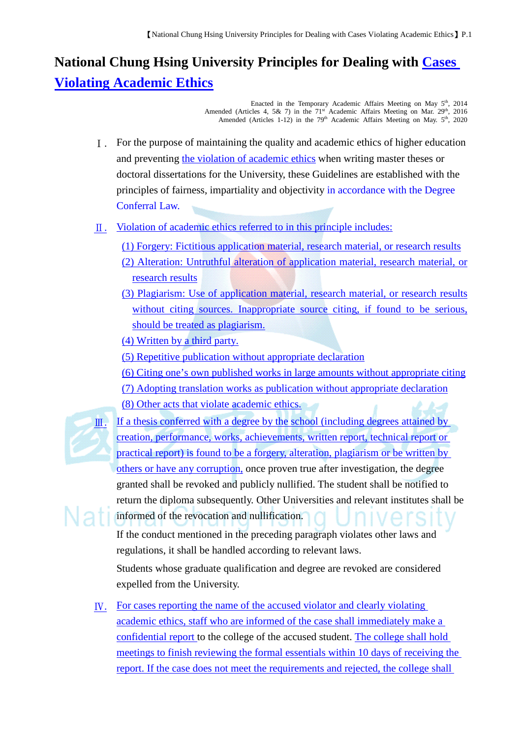## **National Chung Hsing University Principles for Dealing with Cases Violating Academic Ethics**

Enacted in the Temporary Academic Affairs Meeting on May  $5<sup>th</sup>$ , 2014 Amended (Articles 4, 5& 7) in the 71<sup>st</sup> Academic Affairs Meeting on Mar. 29<sup>th</sup>, 2016 Amended (Articles 1-12) in the  $79<sup>th</sup>$  Academic Affairs Meeting on May.  $5<sup>th</sup>$ , 2020

- Ⅰ. For the purpose of maintaining the quality and academic ethics of higher education and preventing the violation of academic ethics when writing master theses or doctoral dissertations for the University, these Guidelines are established with the principles of fairness, impartiality and objectivity in accordance with the Degree Conferral Law.
- Ⅱ. Violation of academic ethics referred to in this principle includes:
	- (1) Forgery: Fictitious application material, research material, or research results
	- (2) Alteration: Untruthful alteration of application material, research material, or research results
	- (3) Plagiarism: Use of application material, research material, or research results without citing sources. Inappropriate source citing, if found to be serious, should be treated as plagiarism.
	- (4) Written by a third party.
	- (5) Repetitive publication without appropriate declaration
	- (6) Citing one's own published works in large amounts without appropriate citing
	- (7) Adopting translation works as publication without appropriate declaration
	- (8) Other acts that violate academic ethics.



 $II.$  If a thesis conferred with a degree by the school (including degrees attained by creation, performance, works, achievements, written report, technical report or practical report) is found to be a forgery, alteration, plagiarism or be written by others or have any corruption, once proven true after investigation, the degree granted shall be revoked and publicly nullified. The student shall be notified to return the diploma subsequently. Other Universities and relevant institutes shall be informed of the revocation and nullification.

If the conduct mentioned in the preceding paragraph violates other laws and regulations, it shall be handled according to relevant laws.

Students whose graduate qualification and degree are revoked are considered expelled from the University.

Ⅳ. For cases reporting the name of the accused violator and clearly violating academic ethics, staff who are informed of the case shall immediately make a confidential report to the college of the accused student. The college shall hold meetings to finish reviewing the formal essentials within 10 days of receiving the report. If the case does not meet the requirements and rejected, the college shall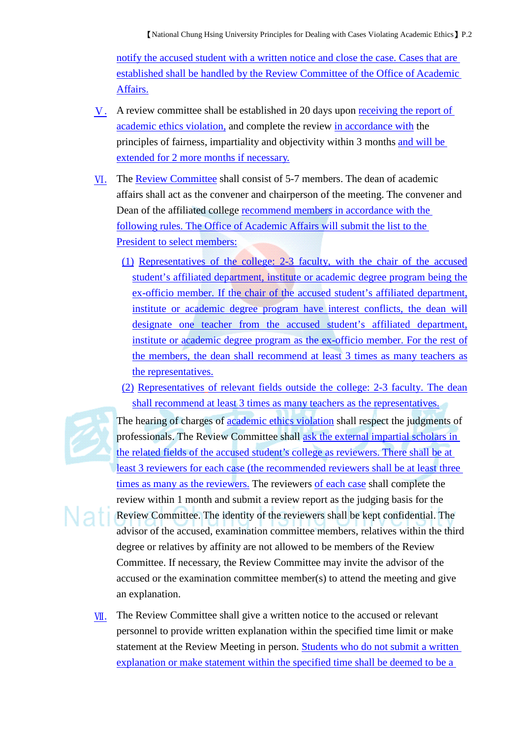notify the accused student with a written notice and close the case. Cases that are established shall be handled by the Review Committee of the Office of Academic Affairs.

- Ⅴ. A review committee shall be established in 20 days upon receiving the report of academic ethics violation, and complete the review in accordance with the principles of fairness, impartiality and objectivity within 3 months and will be extended for 2 more months if necessary.
- Ⅵ. The Review Committee shall consist of 5-7 members. The dean of academic affairs shall act as the convener and chairperson of the meeting. The convener and Dean of the affiliated college recommend members in accordance with the following rules. The Office of Academic Affairs will submit the list to the President to select members:
	- (1) Representatives of the college: 2-3 faculty, with the chair of the accused student's affiliated department, institute or academic degree program being the ex-officio member. If the chair of the accused student's affiliated department, institute or academic degree program have interest conflicts, the dean will designate one teacher from the accused student's affiliated department, institute or academic degree program as the ex-officio member. For the rest of the members, the dean shall recommend at least 3 times as many teachers as the representatives.
	- (2) Representatives of relevant fields outside the college: 2-3 faculty. The dean shall recommend at least 3 times as many teachers as the representatives.



The hearing of charges of academic ethics violation shall respect the judgments of professionals. The Review Committee shall ask the external impartial scholars in the related fields of the accused student's college as reviewers. There shall be at least 3 reviewers for each case (the recommended reviewers shall be at least three times as many as the reviewers. The reviewers of each case shall complete the review within 1 month and submit a review report as the judging basis for the Review Committee. The identity of the reviewers shall be kept confidential. The advisor of the accused, examination committee members, relatives within the third degree or relatives by affinity are not allowed to be members of the Review Committee. If necessary, the Review Committee may invite the advisor of the accused or the examination committee member(s) to attend the meeting and give an explanation.

**W**. The Review Committee shall give a written notice to the accused or relevant personnel to provide written explanation within the specified time limit or make statement at the Review Meeting in person. Students who do not submit a written explanation or make statement within the specified time shall be deemed to be a